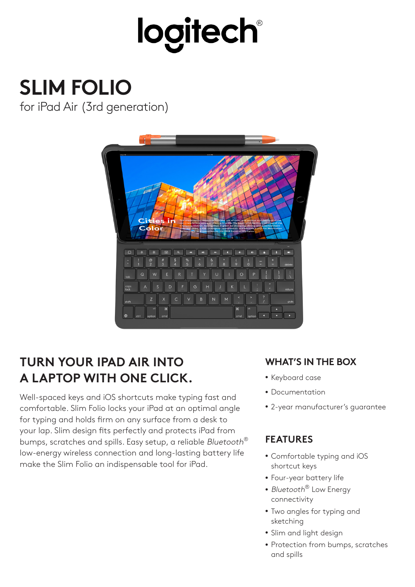# logitech®

# **SLIM FOLIO**

for iPad Air (3rd generation)



# **TURN YOUR IPAD AIR INTO A LAPTOP WITH ONE CLICK.**

Well-spaced keys and iOS shortcuts make typing fast and comfortable. Slim Folio locks your iPad at an optimal angle for typing and holds firm on any surface from a desk to your lap. Slim design fits perfectly and protects iPad from bumps, scratches and spills. Easy setup, a reliable Bluetooth<sup>®</sup> low-energy wireless connection and long-lasting battery life make the Slim Folio an indispensable tool for iPad.

# **WHAT'S IN THE BOX**

- Keyboard case
- Documentation
- 2-year manufacturer's guarantee

### **FEATURES**

- Comfortable typing and iOS shortcut keys
- Four-year battery life
- Bluetooth<sup>®</sup> Low Energy connectivity
- Two angles for typing and sketching
- Slim and light design
- Protection from bumps, scratches and spills